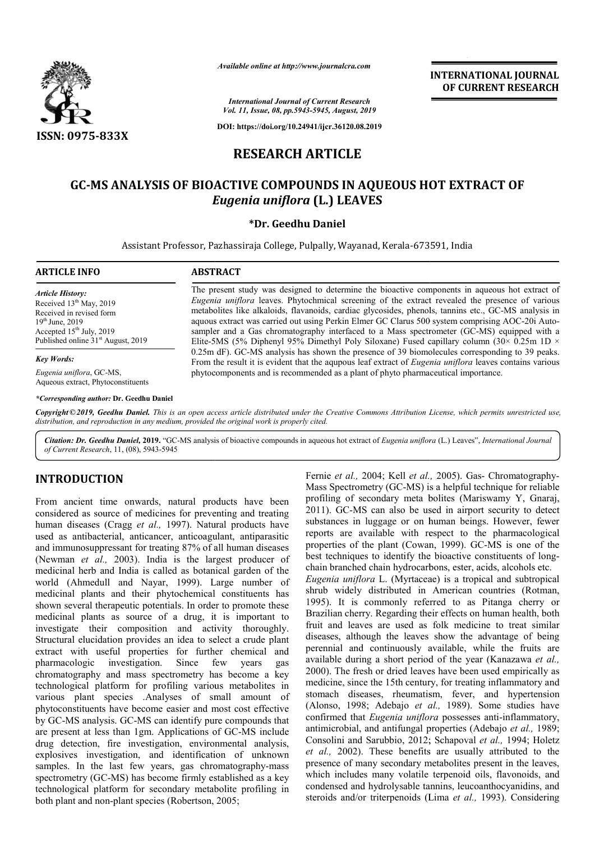

*Available online at http://www.journalcra.com*

**INTERNATIONAL JOURNAL OF CURRENT RESEARCH**

*International Journal of Current Research Vol. 11, Issue, 08, pp.5943-5945, August, 2019*

**DOI: https://doi.org/10.24941/ijcr.36120.08.2019**

# **RESEARCH ARTICLE**

# **GC-MS ANALYSIS OF BIOACTIVE COMPOUNDS IN AQUEOUS HOT EXTRACT OF MS MS AQUEOUS HOT** *Eugenia uniflora* **(L.) LEAVES**

### **\*Dr. Geedhu Daniel**

Assistant Professor, Pazhassiraja College, Pulpally, Wayanad, Kerala-673591 673591, India

#### **ARTICLE INFO ABSTRACT**

*Article History:* Received 13<sup>th</sup> May, 2019 Received in revised form 19th June, 2019 Accepted  $15<sup>th</sup>$  July, 2019 Published online  $31<sup>st</sup>$  August, 2019

#### *Key Words:*

*Eugenia uniflora*, GC-MS, Aqueous extract, Phytoconstituents

*\*Corresponding author:* **Dr. Geedhu Daniel**

The present study was designed to determine the bioactive components in aqueous hot extract of Eugenia uniflora leaves. Phytochmical screening of the extract revealed the presence of various The present study was designed to determine the bioactive components in aqueous hot extract of *Eugenia uniflora* leaves. Phytochmical screening of the extract revealed the presence of various metabolites like alkaloids, f aquous extract was carried out using Perkin Elmer GC Clarus 500 system comprising AOC-20i Autosampler and a Gas chromatography interfaced to a Mass spectrometer (GC-MS) equipped with a Elite-5MS (5% Diphenyl 95% Dimethyl Poly Siloxane) Fused capillary column (30× 0.25m 1D × Elite-5MS (5% Diphenyl 95% Dimethyl Poly Siloxane) Fused capillary column (30× 0.25m 1D × 0.25m dF). GC-MS analysis has shown the presence of 39 biomolecules corresponding to 39 peaks. From the result it is evident that t From the result it is evident that the aqupous leaf extract of *Eugenia uniflora*  phytocomponents and is recommended as a plant of phyto pharmaceutical importance.

Copyright © 2019, Geedhu Daniel. This is an open access article distributed under the Creative Commons Attribution License, which permits unrestricted use, *distribution, and reproduction in any medium, provided the original work is properly cited.*

Citation: Dr. Geedhu Daniel, 2019. "GC-MS analysis of bioactive compounds in aqueous hot extract of Eugenia uniflora (L.) Leaves", *International Journal of Current Research*, 11, (08), 5943-5945

## **INTRODUCTION**

From ancient time onwards, natural products have been considered as source of medicines for preventing and treating human diseases (Cragg *et al.,* 1997). Natural products have used as antibacterial, anticancer, anticoagulant, antiparasitic and immunosuppressant for treating 87% of all human diseases (Newman *et al.,* 2003). India is the largest producer of medicinal herb and India is called as botanical garden of the world (Ahmedull and Nayar, 1999). Large number of and immunosuppressant for treating 87% of all human diseases<br>(Newman *et al.*, 2003). India is the largest producer of<br>medicinal herb and India is called as botanical garden of the<br>world (Ahmedull and Nayar, 1999). Large n shown several therapeutic potentials. In order to promote these medicinal plants as source of a drug, it is important to investigate their composition and activity thoroughly. Structural elucidation provides an idea to select a crude plant extract with useful properties for further chemical and pharmacologic investigation. Since few years gas pharmacologic investigation. Since few years gas chromatography and mass spectrometry has become a key technological platform for profiling various metabolites in various plant species .Analyses of small amount of phytoconstituents have become easier and most cost effective by GC-MS analysis. GC-MS can identify pure compounds that by GC-MS analysis. GC-MS can identify pure compounds that are present at less than 1gm. Applications of GC-MS include drug detection, fire investigation, environmental analysis, explosives investigation, and identification of unknown explosives investigation, and identification of unknown<br>samples. In the last few years, gas chromatography-mass spectrometry (GC-MS) has become firmly established as a key technological platform for secondary metabolite profiling in both plant and non-plant species (Robertson, 2005; tract with useful properties for further chemical and<br>armacologic investigation. Since few years gas<br>romatography and mass spectrometry has become a key<br>chnological platform for profiling various metabolites in<br>rious plant Framie *et al.*, 2004; Kell *et al.*, 2004; Kell *et al.*, has Spectrometry (GC-MS) is a profiling of secondary metals of medicines for preventing and treating 2011). GC-MS can also be uses a sincare and in terminal produc

Mass Spectrometry (GC-MS) is a helpful technique for reliable Mass Spectrometry (GC-MS) is a helpful technique for reliable<br>profiling of secondary meta bolites (Mariswamy Y, Gnaraj, 2011). GC-MS can also be used in airport security to detect substances in luggage or on human beings. However, fewer reports are available with respect to the pharmacological 2011). GC-MS can also be used in airport security to detect substances in luggage or on human beings. However, fewer reports are available with respect to the pharmacological properties of the plant (Cowan, 1999). GC-MS is best techniques to identify the bioactive constituents of longchain branched chain hydrocarbons, ester, acids, alcohols etc. *Eugenia uniflora* L. (Myrtaceae) is a tropical and subtropical shrub widely distributed in American countries (Rotman, 1995). It is commonly referred to as Pitanga cherry or Brazilian cherry. Regarding their effects on human health, both fruit and leaves are used as folk medicine to treat similar diseases, although the leaves show the advantage of being perennial and continuously available, while the fruits are available during a short period of the year (Kanazawa et al., 2000). The fresh or dried leaves have been used empirically as medicine, since the 15th century, for treating inflammatory and 2000). The fresh or dried leaves have been used empirically as medicine, since the 15th century, for treating inflammatory and stomach diseases, rheumatism, fever, and hypertension (Alonso, 1998; Adebajo et al., 1989). Some studies have confirmed that *Eugenia uniflora Eugenia* possesses anti-inflammatory, antimicrobial, and antifungal properties (Adebajo *et al.,* 1989; Consolini and Sarubbio, 2012; Schapoval et al., 1994; Holetz *et al.,* 2002). These benefits are usually attributed to the presence of many secondary metabolites present in the leaves, which includes many volatile terpenoid oils, flavonoids, and condensed and hydrolysable tannins, leucoanthocyanidins, and steroids and/or triterpenoids (Lima et al., 1993). Considering Fernie et al., 2004; Kell et al., 2005). Gas- Chromatographychain hydrocarbons, ester, acids, alcohols etc.<br>*a* L. (Myrtaceae) is a tropical and subtropical<br>distributed in American countries (Rotman, Brazilian cherry. Regarding their effects on human health, both ruit and leaves are used as folk medicine to treat similar liseases, although the leaves show the advantage of being erennial and continuously available, whil et al., 2002). These benefits are usually attributed to the presence of many secondary metabolites present in the leaves, which includes many volatile terpenoid oils, flavonoids, and condensed and hydrolysable tannins, leu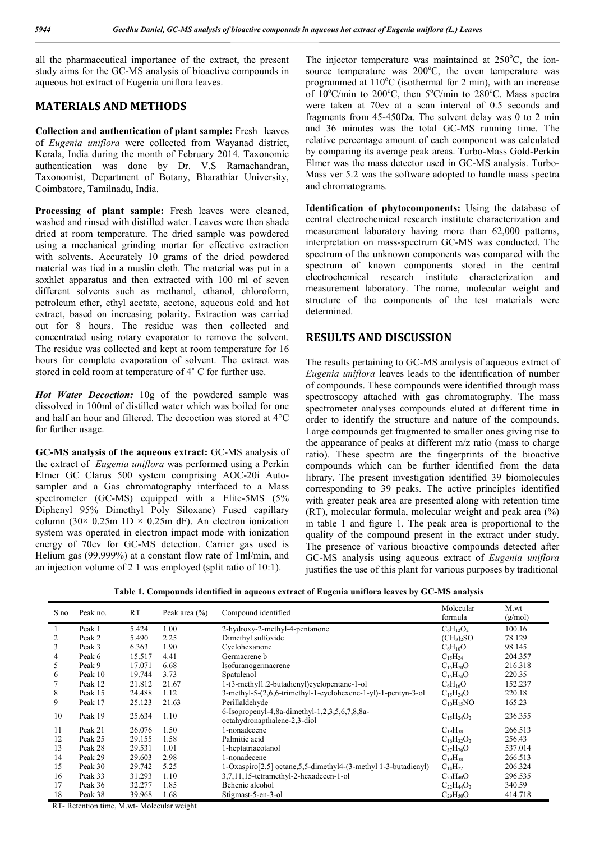all the pharmaceutical importance of the extract, the present study aims for the GC-MS analysis of bioactive compounds in aqueous hot extract of Eugenia uniflora leaves.

# **MATERIALS AND METHODS**

**Collection and authentication of plant sample:** Fresh leaves of *Eugenia uniflora* were collected from Wayanad district, Kerala, India during the month of February 2014. Taxonomic authentication was done by Dr. V.S Ramachandran, Taxonomist, Department of Botany, Bharathiar University, Coimbatore, Tamilnadu, India.

**Processing of plant sample:** Fresh leaves were cleaned, washed and rinsed with distilled water. Leaves were then shade dried at room temperature. The dried sample was powdered using a mechanical grinding mortar for effective extraction with solvents. Accurately 10 grams of the dried powdered material was tied in a muslin cloth. The material was put in a soxhlet apparatus and then extracted with 100 ml of seven different solvents such as methanol, ethanol, chloroform, petroleum ether, ethyl acetate, acetone, aqueous cold and hot extract, based on increasing polarity. Extraction was carried out for 8 hours. The residue was then collected and concentrated using rotary evaporator to remove the solvent. The residue was collected and kept at room temperature for 16 hours for complete evaporation of solvent. The extract was stored in cold room at temperature of 4˚ C for further use.

*Hot Water Decoction:* 10g of the powdered sample was dissolved in 100ml of distilled water which was boiled for one and half an hour and filtered. The decoction was stored at 4°C for further usage.

**GC-MS analysis of the aqueous extract:** GC-MS analysis of the extract of *Eugenia uniflora* was performed using a Perkin Elmer GC Clarus 500 system comprising AOC-20i Autosampler and a Gas chromatography interfaced to a Mass spectrometer (GC-MS) equipped with a Elite-5MS (5% Diphenyl 95% Dimethyl Poly Siloxane) Fused capillary column (30× 0.25m 1D × 0.25m dF). An electron ionization system was operated in electron impact mode with ionization energy of 70ev for GC-MS detection. Carrier gas used is Helium gas (99.999%) at a constant flow rate of 1ml/min, and an injection volume of 2 1 was employed (split ratio of 10:1).

The injector temperature was maintained at  $250^{\circ}$ C, the ionsource temperature was 200°C, the oven temperature was programmed at 110°C (isothermal for 2 min), with an increase of 10°C/min to 200°C, then 5°C/min to 280°C. Mass spectra were taken at 70ev at a scan interval of 0.5 seconds and fragments from 45-450Da. The solvent delay was 0 to 2 min and 36 minutes was the total GC-MS running time. The relative percentage amount of each component was calculated by comparing its average peak areas. Turbo-Mass Gold-Perkin Elmer was the mass detector used in GC-MS analysis. Turbo-Mass ver 5.2 was the software adopted to handle mass spectra and chromatograms.

**Identification of phytocomponents:** Using the database of central electrochemical research institute characterization and measurement laboratory having more than 62,000 patterns, interpretation on mass-spectrum GC-MS was conducted. The spectrum of the unknown components was compared with the spectrum of known components stored in the central electrochemical research institute characterization and measurement laboratory. The name, molecular weight and structure of the components of the test materials were determined.

## **RESULTS AND DISCUSSION**

The results pertaining to GC-MS analysis of aqueous extract of *Eugenia uniflora* leaves leads to the identification of number of compounds. These compounds were identified through mass spectroscopy attached with gas chromatography. The mass spectrometer analyses compounds eluted at different time in order to identify the structure and nature of the compounds. Large compounds get fragmented to smaller ones giving rise to the appearance of peaks at different m/z ratio (mass to charge ratio). These spectra are the fingerprints of the bioactive compounds which can be further identified from the data library. The present investigation identified 39 biomolecules corresponding to 39 peaks. The active principles identified with greater peak area are presented along with retention time (RT), molecular formula, molecular weight and peak area (%) in table 1 and figure 1. The peak area is proportional to the quality of the compound present in the extract under study. The presence of various bioactive compounds detected after GC-MS analysis using aqueous extract of *Eugenia uniflora* justifies the use of this plant for various purposes by traditional

**Table 1. Compounds identified in aqueous extract of Eugenia uniflora leaves by GC-MS analysis**

| S.no | Peak no. | <b>RT</b> | Peak area $(\% )$ | Compound identified                                                           | Molecular<br>formula               | M.wt<br>(g/mol) |
|------|----------|-----------|-------------------|-------------------------------------------------------------------------------|------------------------------------|-----------------|
|      | Peak 1   | 5.424     | 1.00              | 2-hydroxy-2-methyl-4-pentanone                                                | $C_6H_{12}O_2$                     | 100.16          |
| 2    | Peak 2   | 5.490     | 2.25              | Dimethyl sulfoxide                                                            | (CH <sub>3</sub> ) <sub>2</sub> SO | 78.129          |
| 3    | Peak 3   | 6.363     | 1.90              | Cyclohexanone                                                                 | $C_6H_{10}O$                       | 98.145          |
| 4    | Peak 6   | 15.517    | 4.41              | Germacrene b                                                                  | $C_{15}H_{24}$                     | 204.357         |
| 5    | Peak 9   | 17.071    | 6.68              | Isofuranogermacrene                                                           | $C_{15}H_{20}O$                    | 216.318         |
| 6    | Peak 10  | 19.744    | 3.73              | Spatulenol                                                                    | $C_{15}H_{24}O$                    | 220.35          |
|      | Peak 12  | 21.812    | 21.67             | 1-(3-methyl1.2-butadienyl)cyclopentane-1-ol                                   | $C_6H_{16}O$                       | 152.237         |
| 8    | Peak 15  | 24.488    | 1.12              | 3-methyl-5-(2,6,6-trimethyl-1-cyclohexene-1-yl)-1-pentyn-3-ol                 | $C_{15}H_{24}O$                    | 220.18          |
| 9    | Peak 17  | 25.123    | 21.63             | Perillaldehyde                                                                | $C_{10}H_{15}NO$                   | 165.23          |
| 10   | Peak 19  | 25.634    | 1.10              | 6-Isopropenyl-4,8a-dimethyl-1,2,3,5,6,7,8,8a-<br>octahydronapthalene-2,3-diol | $C_{15}H_{24}O_2$                  | 236.355         |
| 11   | Peak 21  | 26.076    | 1.50              | 1-nonadecene                                                                  | $C_{19}H_{38}$                     | 266.513         |
| 12   | Peak 25  | 29.155    | 1.58              | Palmitic acid                                                                 | $C_{16}H_{32}O_2$                  | 256.43          |
| 13   | Peak 28  | 29.531    | 1.01              | 1-heptatriacotanol                                                            | $C_{37}H_{76}O$                    | 537.014         |
| 14   | Peak 29  | 29.603    | 2.98              | 1-nonadecene                                                                  | $C_{19}H_{38}$                     | 266.513         |
| 15   | Peak 30  | 29.742    | 5.25              | 1-Oxaspiro[2.5] octane, 5, 5-dimethyl4-(3-methyl 1-3-butadienyl)              | $C_{14}H_{22}$                     | 206.324         |
| 16   | Peak 33  | 31.293    | 1.10              | 3,7,11,15-tetramethyl-2-hexadecen-1-ol                                        | $C_{20}H_{40}O$                    | 296.535         |
| 17   | Peak 36  | 32.277    | 1.85              | Behenic alcohol                                                               | $C_{22}H_{44}O_2$                  | 340.59          |
| 18   | Peak 38  | 39.968    | 1.68              | Stigmast-5-en-3-ol                                                            | $C_{29}H_{50}O$                    | 414.718         |

RT- Retention time, M.wt- Molecular weight